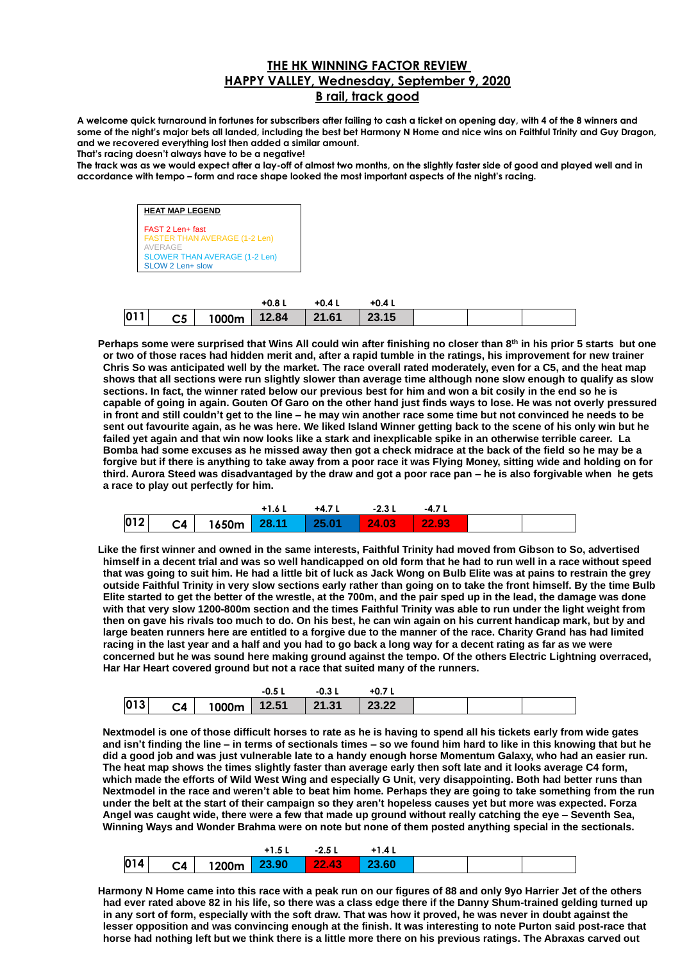## **THE HK WINNING FACTOR REVIEW HAPPY VALLEY, Wednesday, September 9, 2020 B rail, track good**

**A welcome quick turnaround in fortunes for subscribers after failing to cash a ticket on opening day, with 4 of the 8 winners and some of the night's major bets all landed, including the best bet Harmony N Home and nice wins on Faithful Trinity and Guy Dragon, and we recovered everything lost then added a similar amount. That's racing doesn't always have to be a negative!**

**The track was as we would expect after a lay-off of almost two months, on the slightly faster side of good and played well and in accordance with tempo – form and race shape looked the most important aspects of the night's racing.**

> **HEAT MAP LEGEND** FAST 2 Len+ fast FASTER THAN AVERAGE (1-2 Len) AVERAGE SLOWER THAN AVERAGE (1-2 Len) SLOW 2 Len+ slow

|     |                                               | $+0.81$ | $+0.4L$ | +0.4 L |  |  |
|-----|-----------------------------------------------|---------|---------|--------|--|--|
| 011 | $\textsf{C5}$   1000m   12.84   21.61   23.15 |         |         |        |  |  |

**Perhaps some were surprised that Wins All could win after finishing no closer than 8th in his prior 5 starts but one or two of those races had hidden merit and, after a rapid tumble in the ratings, his improvement for new trainer Chris So was anticipated well by the market. The race overall rated moderately, even for a C5, and the heat map shows that all sections were run slightly slower than average time although none slow enough to qualify as slow sections. In fact, the winner rated below our previous best for him and won a bit cosily in the end so he is capable of going in again. Gouten Of Garo on the other hand just finds ways to lose. He was not overly pressured in front and still couldn't get to the line – he may win another race some time but not convinced he needs to be sent out favourite again, as he was here. We liked Island Winner getting back to the scene of his only win but he failed yet again and that win now looks like a stark and inexplicable spike in an otherwise terrible career. La Bomba had some excuses as he missed away then got a check midrace at the back of the field so he may be a forgive but if there is anything to take away from a poor race it was Flying Money, sitting wide and holding on for third. Aurora Steed was disadvantaged by the draw and got a poor race pan – he is also forgivable when he gets a race to play out perfectly for him.**

|     |                                                     | +1.6 L | +4.7 L | -2.3 L | $-4.7'$ |  |
|-----|-----------------------------------------------------|--------|--------|--------|---------|--|
| 012 | $\textsf{C4}$   1650m 28.11   25.01   24.03   22.93 |        |        |        |         |  |

**Like the first winner and owned in the same interests, Faithful Trinity had moved from Gibson to So, advertised himself in a decent trial and was so well handicapped on old form that he had to run well in a race without speed that was going to suit him. He had a little bit of luck as Jack Wong on Bulb Elite was at pains to restrain the grey outside Faithful Trinity in very slow sections early rather than going on to take the front himself. By the time Bulb Elite started to get the better of the wrestle, at the 700m, and the pair sped up in the lead, the damage was done with that very slow 1200-800m section and the times Faithful Trinity was able to run under the light weight from then on gave his rivals too much to do. On his best, he can win again on his current handicap mark, but by and large beaten runners here are entitled to a forgive due to the manner of the race. Charity Grand has had limited racing in the last year and a half and you had to go back a long way for a decent rating as far as we were concerned but he was sound here making ground against the tempo. Of the others Electric Lightning overraced, Har Har Heart covered ground but not a race that suited many of the runners.**

|     |                | $-0.5L$                 |       |  |  |
|-----|----------------|-------------------------|-------|--|--|
| 013 | C <sub>4</sub> | $1000m$   12.51   21.31 | 23.22 |  |  |

**Nextmodel is one of those difficult horses to rate as he is having to spend all his tickets early from wide gates and isn't finding the line – in terms of sectionals times – so we found him hard to like in this knowing that but he did a good job and was just vulnerable late to a handy enough horse Momentum Galaxy, who had an easier run. The heat map shows the times slightly faster than average early then soft late and it looks average C4 form, which made the efforts of Wild West Wing and especially G Unit, very disappointing. Both had better runs than Nextmodel in the race and weren't able to beat him home. Perhaps they are going to take something from the run under the belt at the start of their campaign so they aren't hopeless causes yet but more was expected. Forza Angel was caught wide, there were a few that made up ground without really catching the eye – Seventh Sea, Winning Ways and Wonder Brahma were on note but none of them posted anything special in the sectionals.** 

| 014 | C <sub>4</sub> | 1200m | 23.90 | 22.43 | 23.60 |  |  |
|-----|----------------|-------|-------|-------|-------|--|--|

**Harmony N Home came into this race with a peak run on our figures of 88 and only 9yo Harrier Jet of the others had ever rated above 82 in his life, so there was a class edge there if the Danny Shum-trained gelding turned up in any sort of form, especially with the soft draw. That was how it proved, he was never in doubt against the lesser opposition and was convincing enough at the finish. It was interesting to note Purton said post-race that horse had nothing left but we think there is a little more there on his previous ratings. The Abraxas carved out**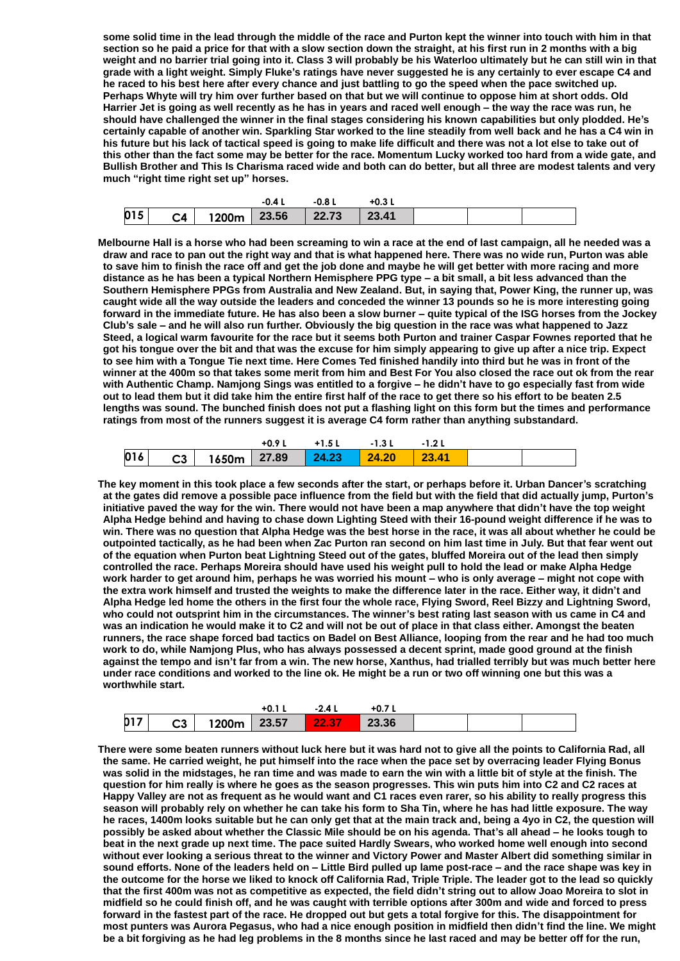**some solid time in the lead through the middle of the race and Purton kept the winner into touch with him in that section so he paid a price for that with a slow section down the straight, at his first run in 2 months with a big weight and no barrier trial going into it. Class 3 will probably be his Waterloo ultimately but he can still win in that grade with a light weight. Simply Fluke's ratings have never suggested he is any certainly to ever escape C4 and he raced to his best here after every chance and just battling to go the speed when the pace switched up. Perhaps Whyte will try him over further based on that but we will continue to oppose him at short odds. Old Harrier Jet is going as well recently as he has in years and raced well enough – the way the race was run, he should have challenged the winner in the final stages considering his known capabilities but only plodded. He's certainly capable of another win. Sparkling Star worked to the line steadily from well back and he has a C4 win in his future but his lack of tactical speed is going to make life difficult and there was not a lot else to take out of this other than the fact some may be better for the race. Momentum Lucky worked too hard from a wide gate, and Bullish Brother and This Is Charisma raced wide and both can do better, but all three are modest talents and very much "right time right set up" horses.**

|     |                                      | $-0.41$ | -0.8 L | +0.3 L |  |  |
|-----|--------------------------------------|---------|--------|--------|--|--|
| 015 | $C4$   1200m   23.56   22.73   23.41 |         |        |        |  |  |

**Melbourne Hall is a horse who had been screaming to win a race at the end of last campaign, all he needed was a draw and race to pan out the right way and that is what happened here. There was no wide run, Purton was able to save him to finish the race off and get the job done and maybe he will get better with more racing and more distance as he has been a typical Northern Hemisphere PPG type – a bit small, a bit less advanced than the Southern Hemisphere PPGs from Australia and New Zealand. But, in saying that, Power King, the runner up, was caught wide all the way outside the leaders and conceded the winner 13 pounds so he is more interesting going forward in the immediate future. He has also been a slow burner – quite typical of the ISG horses from the Jockey Club's sale – and he will also run further. Obviously the big question in the race was what happened to Jazz Steed, a logical warm favourite for the race but it seems both Purton and trainer Caspar Fownes reported that he got his tongue over the bit and that was the excuse for him simply appearing to give up after a nice trip. Expect to see him with a Tongue Tie next time. Here Comes Ted finished handily into third but he was in front of the winner at the 400m so that takes some merit from him and Best For You also closed the race out ok from the rear with Authentic Champ. Namjong Sings was entitled to a forgive – he didn't have to go especially fast from wide out to lead them but it did take him the entire first half of the race to get there so his effort to be beaten 2.5 lengths was sound. The bunched finish does not put a flashing light on this form but the times and performance ratings from most of the runners suggest it is average C4 form rather than anything substandard.**

|     |  | $+0.91$ | $+1.5L$ | -1.3 L                                                 |  |  |
|-----|--|---------|---------|--------------------------------------------------------|--|--|
| 016 |  |         |         | $\textsf{C3}$   1650m   27.89   24.23   24.20   23.41/ |  |  |

**The key moment in this took place a few seconds after the start, or perhaps before it. Urban Dancer's scratching at the gates did remove a possible pace influence from the field but with the field that did actually jump, Purton's initiative paved the way for the win. There would not have been a map anywhere that didn't have the top weight Alpha Hedge behind and having to chase down Lighting Steed with their 16-pound weight difference if he was to win. There was no question that Alpha Hedge was the best horse in the race, it was all about whether he could be outpointed tactically, as he had been when Zac Purton ran second on him last time in July. But that fear went out of the equation when Purton beat Lightning Steed out of the gates, bluffed Moreira out of the lead then simply controlled the race. Perhaps Moreira should have used his weight pull to hold the lead or make Alpha Hedge work harder to get around him, perhaps he was worried his mount – who is only average – might not cope with the extra work himself and trusted the weights to make the difference later in the race. Either way, it didn't and Alpha Hedge led home the others in the first four the whole race, Flying Sword, Reel Bizzy and Lightning Sword, who could not outsprint him in the circumstances. The winner's best rating last season with us came in C4 and was an indication he would make it to C2 and will not be out of place in that class either. Amongst the beaten runners, the race shape forced bad tactics on Badel on Best Alliance, looping from the rear and he had too much work to do, while Namjong Plus, who has always possessed a decent sprint, made good ground at the finish against the tempo and isn't far from a win. The new horse, Xanthus, had trialled terribly but was much better here under race conditions and worked to the line ok. He might be a run or two off winning one but this was a worthwhile start.**

|                      |         |       | $+0.1$ . | 24<br>       | $+0.7$ |  |  |
|----------------------|---------|-------|----------|--------------|--------|--|--|
| <b>h</b> 17<br>, ו ט | ົາ<br>w | 1200m | 23.57    | 427<br>22.37 | 23.36  |  |  |

**There were some beaten runners without luck here but it was hard not to give all the points to California Rad, all the same. He carried weight, he put himself into the race when the pace set by overracing leader Flying Bonus was solid in the midstages, he ran time and was made to earn the win with a little bit of style at the finish. The question for him really is where he goes as the season progresses. This win puts him into C2 and C2 races at Happy Valley are not as frequent as he would want and C1 races even rarer, so his ability to really progress this season will probably rely on whether he can take his form to Sha Tin, where he has had little exposure. The way he races, 1400m looks suitable but he can only get that at the main track and, being a 4yo in C2, the question will possibly be asked about whether the Classic Mile should be on his agenda. That's all ahead – he looks tough to beat in the next grade up next time. The pace suited Hardly Swears, who worked home well enough into second without ever looking a serious threat to the winner and Victory Power and Master Albert did something similar in sound efforts. None of the leaders held on – Little Bird pulled up lame post-race – and the race shape was key in the outcome for the horse we liked to knock off California Rad, Triple Triple. The leader got to the lead so quickly that the first 400m was not as competitive as expected, the field didn't string out to allow Joao Moreira to slot in midfield so he could finish off, and he was caught with terrible options after 300m and wide and forced to press forward in the fastest part of the race. He dropped out but gets a total forgive for this. The disappointment for most punters was Aurora Pegasus, who had a nice enough position in midfield then didn't find the line. We might be a bit forgiving as he had leg problems in the 8 months since he last raced and may be better off for the run,**